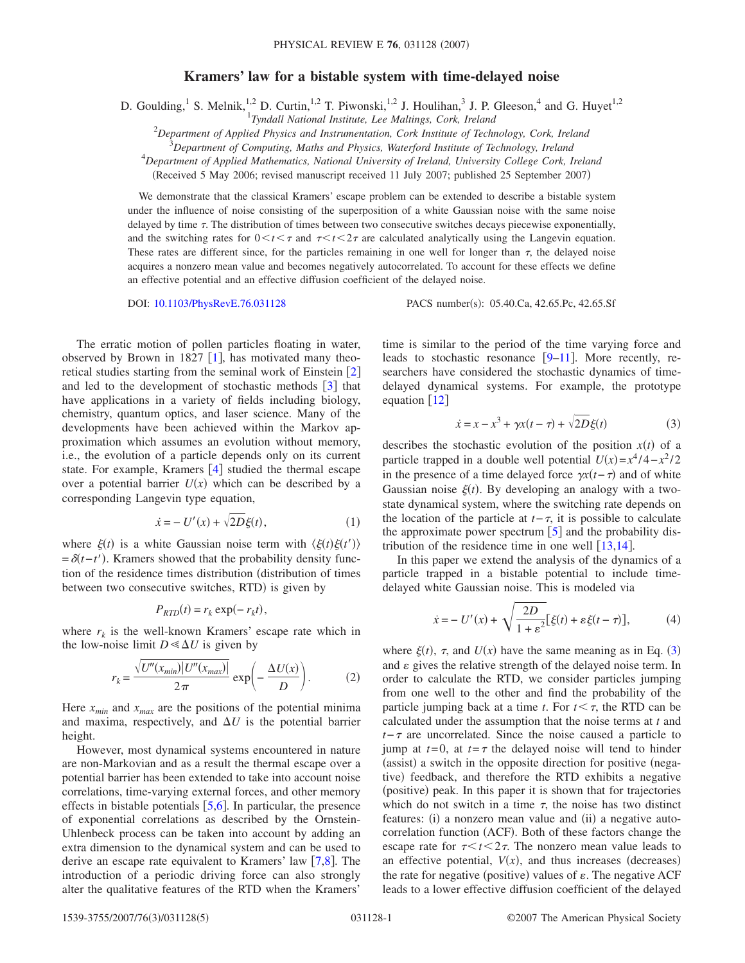## **Kramers' law for a bistable system with time-delayed noise**

D. Goulding,<sup>1</sup> S. Melnik,<sup>1,2</sup> D. Curtin,<sup>1,2</sup> T. Piwonski,<sup>1,2</sup> J. Houlihan,<sup>3</sup> J. P. Gleeson,<sup>4</sup> and G. Huyet<sup>1,2</sup>

1 *Tyndall National Institute, Lee Maltings, Cork, Ireland*

2 *Department of Applied Physics and Instrumentation, Cork Institute of Technology, Cork, Ireland*

3 *Department of Computing, Maths and Physics, Waterford Institute of Technology, Ireland*

4 *Department of Applied Mathematics, National University of Ireland, University College Cork, Ireland*

(Received 5 May 2006; revised manuscript received 11 July 2007; published 25 September 2007)

We demonstrate that the classical Kramers' escape problem can be extended to describe a bistable system under the influence of noise consisting of the superposition of a white Gaussian noise with the same noise delayed by time  $\tau$ . The distribution of times between two consecutive switches decays piecewise exponentially, and the switching rates for  $0 \lt t \lt \tau$  and  $\tau \lt t \lt 2\tau$  are calculated analytically using the Langevin equation. These rates are different since, for the particles remaining in one well for longer than  $\tau$ , the delayed noise acquires a nonzero mean value and becomes negatively autocorrelated. To account for these effects we define an effective potential and an effective diffusion coefficient of the delayed noise.

DOI: [10.1103/PhysRevE.76.031128](http://dx.doi.org/10.1103/PhysRevE.76.031128)

PACS number(s): 05.40.Ca, 42.65.Pc, 42.65.Sf

The erratic motion of pollen particles floating in water, observed by Brown in [1](#page-3-0)827  $[1]$ , has motivated many theoretical studies starting from the seminal work of Einstein  $\lceil 2 \rceil$  $\lceil 2 \rceil$  $\lceil 2 \rceil$ and led to the development of stochastic methods  $\begin{bmatrix} 3 \end{bmatrix}$  $\begin{bmatrix} 3 \end{bmatrix}$  $\begin{bmatrix} 3 \end{bmatrix}$  that have applications in a variety of fields including biology, chemistry, quantum optics, and laser science. Many of the developments have been achieved within the Markov approximation which assumes an evolution without memory, i.e., the evolution of a particle depends only on its current state. For example, Kramers  $[4]$  $[4]$  $[4]$  studied the thermal escape over a potential barrier  $U(x)$  which can be described by a corresponding Langevin type equation,

$$
\dot{x} = -U'(x) + \sqrt{2D}\xi(t),\tag{1}
$$

where  $\xi(t)$  is a white Gaussian noise term with  $\langle \xi(t) \xi(t') \rangle$  $=\delta(t-t')$ . Kramers showed that the probability density function of the residence times distribution distribution of times between two consecutive switches, RTD) is given by

$$
P_{RTD}(t) = r_k \exp(-r_k t),
$$

<span id="page-0-2"></span>where  $r_k$  is the well-known Kramers' escape rate which in the low-noise limit  $D \ll \Delta U$  is given by

$$
r_k = \frac{\sqrt{U''(x_{min})|U''(x_{max})|}}{2\pi} \exp\left(-\frac{\Delta U(x)}{D}\right).
$$
 (2)

Here  $x_{min}$  and  $x_{max}$  are the positions of the potential minima and maxima, respectively, and  $\Delta U$  is the potential barrier height.

However, most dynamical systems encountered in nature are non-Markovian and as a result the thermal escape over a potential barrier has been extended to take into account noise correlations, time-varying external forces, and other memory effects in bistable potentials  $[5,6]$  $[5,6]$  $[5,6]$  $[5,6]$ . In particular, the presence of exponential correlations as described by the Ornstein-Uhlenbeck process can be taken into account by adding an extra dimension to the dynamical system and can be used to derive an escape rate equivalent to Kramers' law  $[7,8]$  $[7,8]$  $[7,8]$  $[7,8]$ . The introduction of a periodic driving force can also strongly alter the qualitative features of the RTD when the Kramers'

time is similar to the period of the time varying force and leads to stochastic resonance  $[9-11]$  $[9-11]$  $[9-11]$ . More recently, researchers have considered the stochastic dynamics of timedelayed dynamical systems. For example, the prototype equation  $[12]$  $[12]$  $[12]$ 

$$
\dot{x} = x - x^3 + \gamma x(t - \tau) + \sqrt{2D}\xi(t) \tag{3}
$$

<span id="page-0-0"></span>describes the stochastic evolution of the position  $x(t)$  of a particle trapped in a double well potential  $U(x) = x^4/4 - x^2/2$ in the presence of a time delayed force  $\gamma x(t-\tau)$  and of white Gaussian noise  $\xi(t)$ . By developing an analogy with a twostate dynamical system, where the switching rate depends on the location of the particle at  $t-\tau$ , it is possible to calculate the approximate power spectrum  $\lceil 5 \rceil$  $\lceil 5 \rceil$  $\lceil 5 \rceil$  and the probability distribution of the residence time in one well  $\left[13,14\right]$  $\left[13,14\right]$  $\left[13,14\right]$  $\left[13,14\right]$ .

<span id="page-0-1"></span>In this paper we extend the analysis of the dynamics of a particle trapped in a bistable potential to include timedelayed white Gaussian noise. This is modeled via

$$
\dot{x} = -U'(x) + \sqrt{\frac{2D}{1 + \varepsilon^2}} [\xi(t) + \varepsilon \xi(t - \tau)],\tag{4}
$$

where  $\xi(t)$ ,  $\tau$ , and  $U(x)$  have the same meaning as in Eq. ([3](#page-0-0)) and  $\varepsilon$  gives the relative strength of the delayed noise term. In order to calculate the RTD, we consider particles jumping from one well to the other and find the probability of the particle jumping back at a time *t*. For  $t < \tau$ , the RTD can be calculated under the assumption that the noise terms at *t* and *t*− $\tau$  are uncorrelated. Since the noise caused a particle to jump at  $t=0$ , at  $t=\tau$  the delayed noise will tend to hinder (assist) a switch in the opposite direction for positive (negative) feedback, and therefore the RTD exhibits a negative (positive) peak. In this paper it is shown that for trajectories which do not switch in a time  $\tau$ , the noise has two distinct features: (i) a nonzero mean value and (ii) a negative autocorrelation function (ACF). Both of these factors change the escape rate for  $\tau < t < 2\tau$ . The nonzero mean value leads to an effective potential,  $V(x)$ , and thus increases (decreases) the rate for negative (positive) values of  $\varepsilon$ . The negative ACF leads to a lower effective diffusion coefficient of the delayed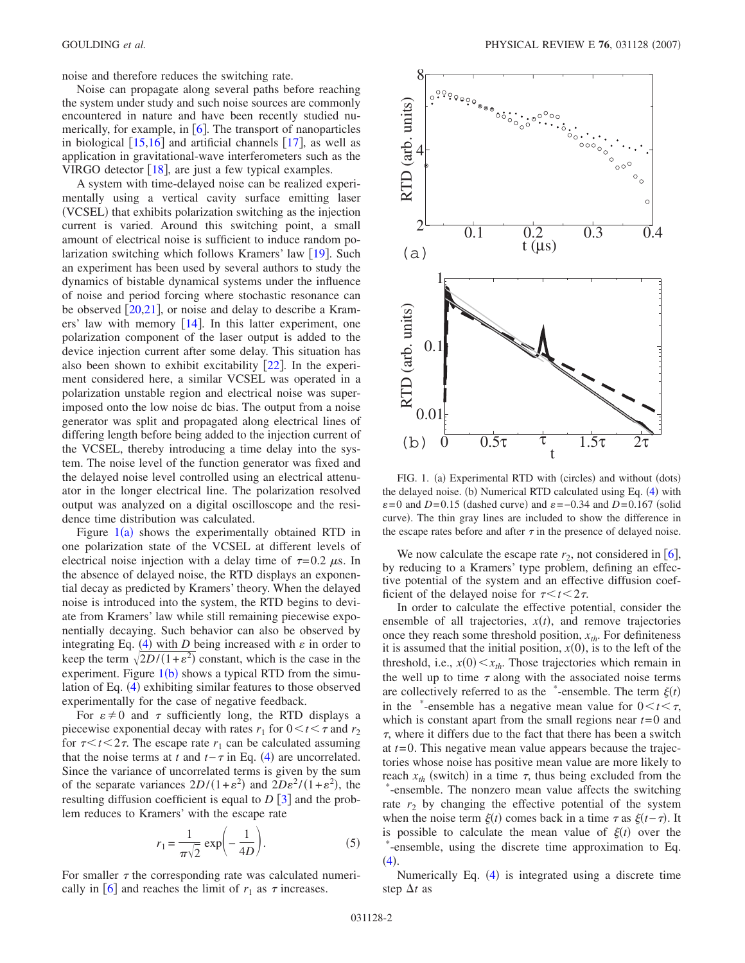noise and therefore reduces the switching rate.

Noise can propagate along several paths before reaching the system under study and such noise sources are commonly encountered in nature and have been recently studied numerically, for example, in  $[6]$  $[6]$  $[6]$ . The transport of nanoparticles in biological  $\left[15,16\right]$  $\left[15,16\right]$  $\left[15,16\right]$  $\left[15,16\right]$  and artificial channels  $\left[17\right]$  $\left[17\right]$  $\left[17\right]$ , as well as application in gravitational-wave interferometers such as the VIRGO detector  $[18]$  $[18]$  $[18]$ , are just a few typical examples.

A system with time-delayed noise can be realized experimentally using a vertical cavity surface emitting laser (VCSEL) that exhibits polarization switching as the injection current is varied. Around this switching point, a small amount of electrical noise is sufficient to induce random polarization switching which follows Kramers' law  $[19]$  $[19]$  $[19]$ . Such an experiment has been used by several authors to study the dynamics of bistable dynamical systems under the influence of noise and period forcing where stochastic resonance can be observed  $\left[20,21\right]$  $\left[20,21\right]$  $\left[20,21\right]$  $\left[20,21\right]$ , or noise and delay to describe a Kramers' law with memory  $\lceil 14 \rceil$  $\lceil 14 \rceil$  $\lceil 14 \rceil$ . In this latter experiment, one polarization component of the laser output is added to the device injection current after some delay. This situation has also been shown to exhibit excitability  $[22]$  $[22]$  $[22]$ . In the experiment considered here, a similar VCSEL was operated in a polarization unstable region and electrical noise was superimposed onto the low noise dc bias. The output from a noise generator was split and propagated along electrical lines of differing length before being added to the injection current of the VCSEL, thereby introducing a time delay into the system. The noise level of the function generator was fixed and the delayed noise level controlled using an electrical attenuator in the longer electrical line. The polarization resolved output was analyzed on a digital oscilloscope and the residence time distribution was calculated.

Figure  $1(a)$  $1(a)$  shows the experimentally obtained RTD in one polarization state of the VCSEL at different levels of electrical noise injection with a delay time of  $\tau=0.2 \mu s$ . In the absence of delayed noise, the RTD displays an exponential decay as predicted by Kramers' theory. When the delayed noise is introduced into the system, the RTD begins to deviate from Kramers' law while still remaining piecewise exponentially decaying. Such behavior can also be observed by integrating Eq.  $(4)$  $(4)$  $(4)$  with *D* being increased with  $\varepsilon$  in order to keep the term  $\sqrt{2D/(1+\epsilon^2)}$  constant, which is the case in the experiment. Figure  $1(b)$  $1(b)$  shows a typical RTD from the simu-lation of Eq. ([4](#page-0-1)) exhibiting similar features to those observed experimentally for the case of negative feedback.

For  $\varepsilon \neq 0$  and  $\tau$  sufficiently long, the RTD displays a piecewise exponential decay with rates  $r_1$  for  $0 \lt t \lt \tau$  and  $r_2$ for  $\tau < t < 2\tau$ . The escape rate  $r_1$  can be calculated assuming that the noise terms at *t* and  $t - \tau$  in Eq. ([4](#page-0-1)) are uncorrelated. Since the variance of uncorrelated terms is given by the sum of the separate variances  $2D/(1+\varepsilon^2)$  and  $2D\varepsilon^2/(1+\varepsilon^2)$ , the resulting diffusion coefficient is equal to  $D \begin{bmatrix} 3 \end{bmatrix}$  $D \begin{bmatrix} 3 \end{bmatrix}$  $D \begin{bmatrix} 3 \end{bmatrix}$  and the problem reduces to Kramers' with the escape rate

$$
r_1 = \frac{1}{\pi\sqrt{2}} \exp\left(-\frac{1}{4D}\right).
$$
 (5)

For smaller  $\tau$  the corresponding rate was calculated numerically in  $\left[6\right]$  $\left[6\right]$  $\left[6\right]$  and reaches the limit of  $r_1$  as  $\tau$  increases.

<span id="page-1-0"></span>

FIG. 1. (a) Experimental RTD with (circles) and without (dots) the delayed noise. (b) Numerical RTD calculated using Eq. ([4](#page-0-1)) with  $\varepsilon$ =0 and *D*=0.15 (dashed curve) and  $\varepsilon$ =-0.34 and *D*=0.167 (solid curve). The thin gray lines are included to show the difference in the escape rates before and after  $\tau$  in the presence of delayed noise.

We now calculate the escape rate  $r_2$ , not considered in [[6](#page-3-5)], by reducing to a Kramers' type problem, defining an effective potential of the system and an effective diffusion coefficient of the delayed noise for  $\tau < t < 2\tau$ .

In order to calculate the effective potential, consider the ensemble of all trajectories,  $x(t)$ , and remove trajectories once they reach some threshold position,  $x_{th}$ . For definiteness it is assumed that the initial position,  $x(0)$ , is to the left of the threshold, i.e.,  $x(0) \le x_{th}$ . Those trajectories which remain in the well up to time  $\tau$  along with the associated noise terms are collectively referred to as the  $*$ -ensemble. The term  $\xi(t)$ in the \*-ensemble has a negative mean value for  $0 < t < \tau$ , which is constant apart from the small regions near *t*=0 and  $\tau$ , where it differs due to the fact that there has been a switch at *t*=0. This negative mean value appears because the trajectories whose noise has positive mean value are more likely to reach  $x_{th}$  (switch) in a time  $\tau$ , thus being excluded from the \* -ensemble. The nonzero mean value affects the switching rate  $r_2$  by changing the effective potential of the system when the noise term  $\xi(t)$  comes back in a time  $\tau$  as  $\xi(t-\tau)$ . It is possible to calculate the mean value of  $\xi(t)$  over the \* -ensemble, using the discrete time approximation to Eq.  $(4).$  $(4).$  $(4).$ 

Numerically Eq. ([4](#page-0-1)) is integrated using a discrete time step  $\Delta t$  as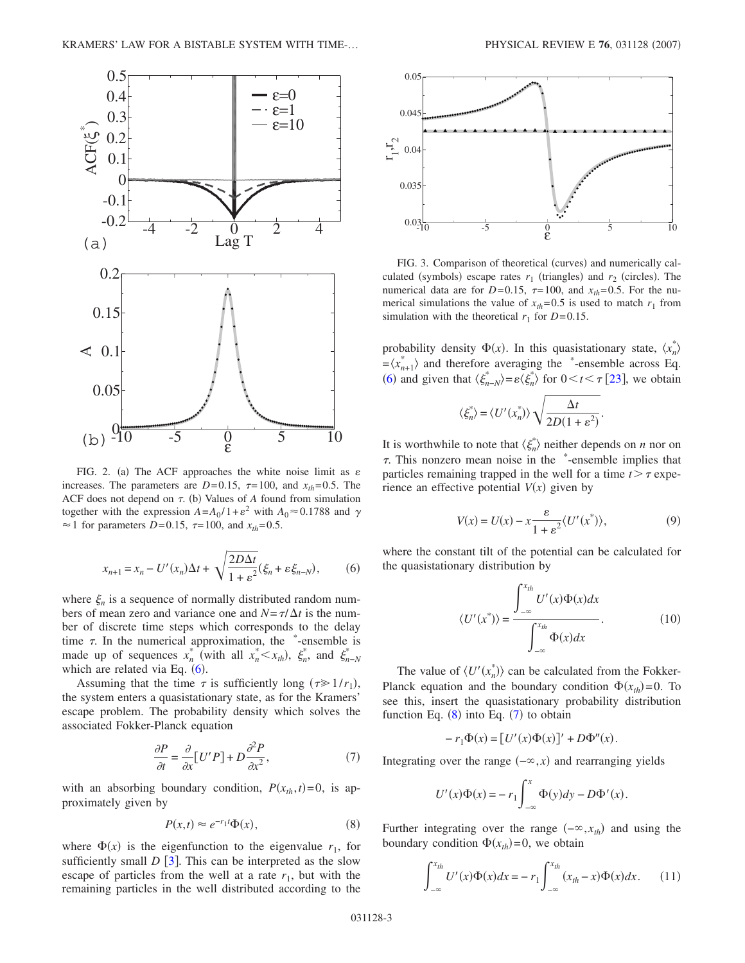<span id="page-2-5"></span>

FIG. 2. (a) The ACF approaches the white noise limit as  $\varepsilon$ increases. The parameters are  $D=0.15$ ,  $\tau=100$ , and  $x_{th}=0.5$ . The ACF does not depend on  $\tau$ . (b) Values of  $A$  found from simulation together with the expression  $A = A_0 / 1 + \varepsilon^2$  with  $A_0 \approx 0.1788$  and  $\gamma$  $\approx$  1 for parameters *D*=0.15,  $\tau$ =100, and  $x_{th}$ =0.5.

$$
x_{n+1} = x_n - U'(x_n)\Delta t + \sqrt{\frac{2D\Delta t}{1 + \varepsilon^2}}(\xi_n + \varepsilon \xi_{n-N}),\tag{6}
$$

<span id="page-2-0"></span>where  $\xi_n$  is a sequence of normally distributed random numbers of mean zero and variance one and  $N = \tau / \Delta t$  is the number of discrete time steps which corresponds to the delay time  $\tau$ . In the numerical approximation, the  $*$ -ensemble is made up of sequences  $x_n^*$  (with all  $x_n^* < x_{th}$ ),  $\xi_n^*$ , and  $\xi_{n-N}^*$ which are related via Eq.  $(6)$  $(6)$  $(6)$ .

Assuming that the time  $\tau$  is sufficiently long ( $\tau \geq 1/r_1$ ), the system enters a quasistationary state, as for the Kramers' escape problem. The probability density which solves the associated Fokker-Planck equation

$$
\frac{\partial P}{\partial t} = \frac{\partial}{\partial x} [U'P] + D \frac{\partial^2 P}{\partial x^2},\tag{7}
$$

<span id="page-2-2"></span>with an absorbing boundary condition,  $P(x_{th}, t) = 0$ , is approximately given by

$$
P(x,t) \approx e^{-r_1 t} \Phi(x),\tag{8}
$$

<span id="page-2-1"></span>where  $\Phi(x)$  is the eigenfunction to the eigenvalue  $r_1$ , for sufficiently small  $D$  [[3](#page-3-2)]. This can be interpreted as the slow escape of particles from the well at a rate  $r_1$ , but with the remaining particles in the well distributed according to the

<span id="page-2-6"></span>

FIG. 3. Comparison of theoretical (curves) and numerically calculated (symbols) escape rates  $r_1$  (triangles) and  $r_2$  (circles). The numerical data are for  $D=0.15$ ,  $\tau=100$ , and  $x_{th}=0.5$ . For the numerical simulations the value of  $x_{th} = 0.5$  is used to match  $r_1$  from simulation with the theoretical  $r_1$  for  $D=0.15$ .

probability density  $\Phi(x)$ . In this quasistationary state,  $\langle x_n^* \rangle$  $=\langle x_{n+1}^* \rangle$  and therefore averaging the \*-ensemble across Eq. ([6](#page-2-0)) and given that  $\langle \xi_{n-N}^* \rangle = \varepsilon \langle \xi_n^* \rangle$  for  $0 \le t \le \tau$  [[23](#page-4-7)], we obtain

$$
\langle \xi_n^* \rangle = \langle U'(x_n^*) \rangle \sqrt{\frac{\Delta t}{2D(1 + \varepsilon^2)}}
$$

It is worthwhile to note that  $\langle \xi_n^* \rangle$  neither depends on *n* nor on  $\tau$ . This nonzero mean noise in the  $*$ -ensemble implies that particles remaining trapped in the well for a time  $t > \tau$  experience an effective potential  $V(x)$  given by

$$
V(x) = U(x) - x \frac{\varepsilon}{1 + \varepsilon^2} \langle U'(x^*) \rangle, \tag{9}
$$

.

<span id="page-2-4"></span><span id="page-2-3"></span>where the constant tilt of the potential can be calculated for the quasistationary distribution by

$$
\langle U'(x^*) \rangle = \frac{\int_{-\infty}^{x_{th}} U'(x) \Phi(x) dx}{\int_{-\infty}^{x_{th}} \Phi(x) dx}.
$$
 (10)

The value of  $\langle U'(x_n^*)\rangle$  can be calculated from the Fokker-Planck equation and the boundary condition  $\Phi(x_{th}) = 0$ . To see this, insert the quasistationary probability distribution function Eq.  $(8)$  $(8)$  $(8)$  into Eq.  $(7)$  $(7)$  $(7)$  to obtain

$$
-r_1\Phi(x) = [U'(x)\Phi(x)]' + D\Phi''(x).
$$

Integrating over the range  $(-\infty, x)$  and rearranging yields

$$
U'(x)\Phi(x) = -r_1 \int_{-\infty}^x \Phi(y) dy - D\Phi'(x).
$$

Further integrating over the range  $(-\infty, x_{th})$  and using the boundary condition  $\Phi(x_{th}) = 0$ , we obtain

$$
\int_{-\infty}^{x_{th}} U'(x) \Phi(x) dx = -r_1 \int_{-\infty}^{x_{th}} (x_{th} - x) \Phi(x) dx.
$$
 (11)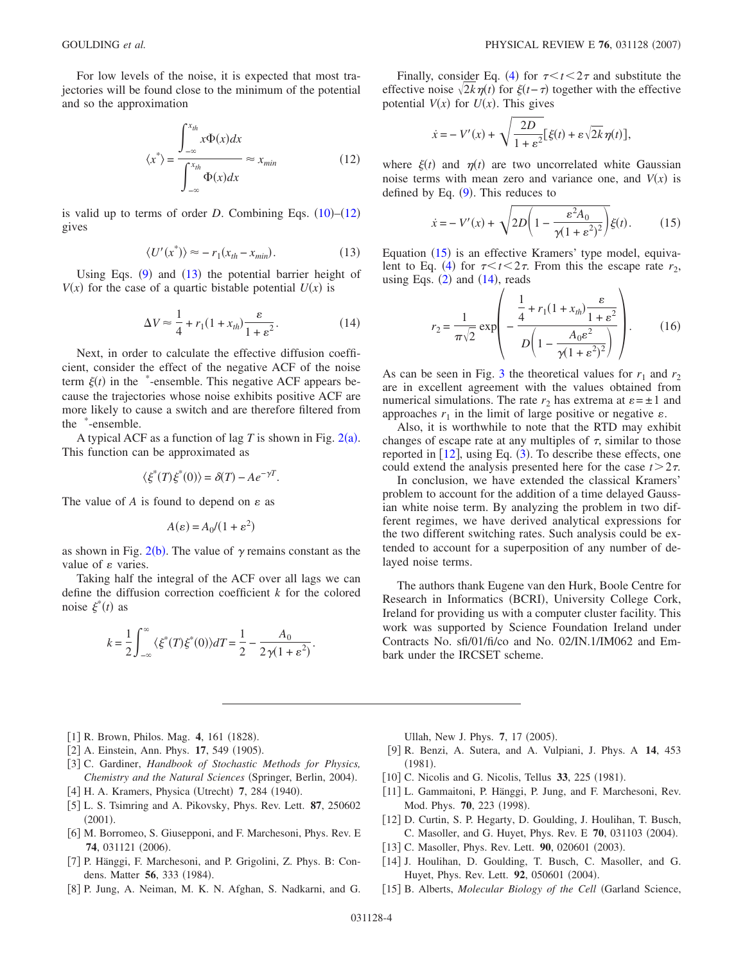<span id="page-3-14"></span>For low levels of the noise, it is expected that most trajectories will be found close to the minimum of the potential and so the approximation

$$
\langle x^* \rangle = \frac{\int_{-\infty}^{x_{th}} x \Phi(x) dx}{\int_{-\infty}^{x_{th}} \Phi(x) dx} \approx x_{min} \tag{12}
$$

is valid up to terms of order  $D$ . Combining Eqs.  $(10)$  $(10)$  $(10)$ – $(12)$  $(12)$  $(12)$ gives

$$
\langle U'(x^*)\rangle \approx -r_1(x_{th} - x_{min}).\tag{13}
$$

<span id="page-3-17"></span><span id="page-3-15"></span>Using Eqs.  $(9)$  $(9)$  $(9)$  and  $(13)$  $(13)$  $(13)$  the potential barrier height of  $V(x)$  for the case of a quartic bistable potential  $U(x)$  is

$$
\Delta V \approx \frac{1}{4} + r_1 (1 + x_{th}) \frac{\varepsilon}{1 + \varepsilon^2}.
$$
 (14)

Next, in order to calculate the effective diffusion coefficient, consider the effect of the negative ACF of the noise term  $\xi(t)$  in the \*-ensemble. This negative ACF appears because the trajectories whose noise exhibits positive ACF are more likely to cause a switch and are therefore filtered from the \* -ensemble.

A typical ACF as a function of lag  $T$  is shown in Fig.  $2(a)$  $2(a)$ . This function can be approximated as

$$
\langle \xi^*(T)\xi^*(0) \rangle = \delta(T) - Ae^{-\gamma T}.
$$

The value of  $A$  is found to depend on  $\varepsilon$  as

$$
A(\varepsilon) = A_0/(1 + \varepsilon^2)
$$

as shown in Fig. 2([b](#page-2-5)). The value of  $\gamma$  remains constant as the value of  $\varepsilon$  varies.

Taking half the integral of the ACF over all lags we can define the diffusion correction coefficient *k* for the colored noise  $\xi^*(t)$  as

$$
k = \frac{1}{2} \int_{-\infty}^{\infty} \langle \xi^*(T) \xi^*(0) \rangle dT = \frac{1}{2} - \frac{A_0}{2\gamma(1+\varepsilon^2)}.
$$

Finally, consider Eq. ([4](#page-0-1)) for  $\tau < t < 2\tau$  and substitute the effective noise  $\sqrt{2k}\eta(t)$  for  $\xi(t-\tau)$  together with the effective potential  $V(x)$  for  $U(x)$ . This gives

$$
\dot{x} = -V'(x) + \sqrt{\frac{2D}{1+\varepsilon^2}} \left[ \xi(t) + \varepsilon \sqrt{2k} \eta(t) \right],
$$

<span id="page-3-16"></span>where  $\xi(t)$  and  $\eta(t)$  are two uncorrelated white Gaussian noise terms with mean zero and variance one, and  $V(x)$  is defined by Eq.  $(9)$  $(9)$  $(9)$ . This reduces to

$$
\dot{x} = -V'(x) + \sqrt{2D\left(1 - \frac{\varepsilon^2 A_0}{\gamma (1 + \varepsilon^2)^2}\right)}\xi(t). \tag{15}
$$

Equation ([15](#page-3-16)) is an effective Kramers' type model, equiva-lent to Eq. ([4](#page-0-1)) for  $\tau < t < 2\tau$ . From this the escape rate  $r_2$ , using Eqs.  $(2)$  $(2)$  $(2)$  and  $(14)$  $(14)$  $(14)$ , reads

$$
r_2 = \frac{1}{\pi\sqrt{2}} \exp\left(-\frac{\frac{1}{4} + r_1(1 + x_{th})\frac{\varepsilon}{1 + \varepsilon^2}}{D\left(1 - \frac{A_0\varepsilon^2}{\gamma(1 + \varepsilon^2)^2}\right)}\right).
$$
 (16)

As can be seen in Fig. [3](#page-2-6) the theoretical values for  $r_1$  and  $r_2$ are in excellent agreement with the values obtained from numerical simulations. The rate  $r_2$  has extrema at  $\varepsilon = \pm 1$  and approaches  $r_1$  in the limit of large positive or negative  $\varepsilon$ .

Also, it is worthwhile to note that the RTD may exhibit changes of escape rate at any multiples of  $\tau$ , similar to those reported in  $[12]$  $[12]$  $[12]$ , using Eq.  $(3)$  $(3)$  $(3)$ . To describe these effects, one could extend the analysis presented here for the case  $t > 2\tau$ .

In conclusion, we have extended the classical Kramers' problem to account for the addition of a time delayed Gaussian white noise term. By analyzing the problem in two different regimes, we have derived analytical expressions for the two different switching rates. Such analysis could be extended to account for a superposition of any number of delayed noise terms.

The authors thank Eugene van den Hurk, Boole Centre for Research in Informatics (BCRI), University College Cork, Ireland for providing us with a computer cluster facility. This work was supported by Science Foundation Ireland under Contracts No. sfi/01/fi/co and No. 02/IN.1/IM062 and Embark under the IRCSET scheme.

- <span id="page-3-0"></span>[1] R. Brown, Philos. Mag. 4, 161 (1828).
- <span id="page-3-1"></span>[2] A. Einstein, Ann. Phys. 17, 549 (1905).
- <span id="page-3-2"></span>3 C. Gardiner, *Handbook of Stochastic Methods for Physics,* Chemistry and the Natural Sciences (Springer, Berlin, 2004).
- <span id="page-3-3"></span>[4] H. A. Kramers, Physica (Utrecht) 7, 284 (1940).
- <span id="page-3-4"></span>5 L. S. Tsimring and A. Pikovsky, Phys. Rev. Lett. **87**, 250602  $(2001).$
- <span id="page-3-5"></span>[6] M. Borromeo, S. Giusepponi, and F. Marchesoni, Phys. Rev. E 74, 031121 (2006).
- <span id="page-3-6"></span>7 P. Hänggi, F. Marchesoni, and P. Grigolini, Z. Phys. B: Condens. Matter **56**, 333 (1984).
- <span id="page-3-7"></span>[8] P. Jung, A. Neiman, M. K. N. Afghan, S. Nadkarni, and G.

Ullah, New J. Phys. 7, 17 (2005).

- <span id="page-3-8"></span>9 R. Benzi, A. Sutera, and A. Vulpiani, J. Phys. A **14**, 453  $(1981).$
- [10] C. Nicolis and G. Nicolis, Tellus 33, 225 (1981).
- <span id="page-3-9"></span>[11] L. Gammaitoni, P. Hänggi, P. Jung, and F. Marchesoni, Rev. Mod. Phys. **70**, 223 (1998).
- <span id="page-3-10"></span>12 D. Curtin, S. P. Hegarty, D. Goulding, J. Houlihan, T. Busch, C. Masoller, and G. Huyet, Phys. Rev. E 70, 031103 (2004).
- <span id="page-3-11"></span>[13] C. Masoller, Phys. Rev. Lett. 90, 020601 (2003).
- <span id="page-3-12"></span>[14] J. Houlihan, D. Goulding, T. Busch, C. Masoller, and G. Huyet, Phys. Rev. Lett. 92, 050601 (2004).
- <span id="page-3-13"></span>[15] B. Alberts, *Molecular Biology of the Cell* (Garland Science,